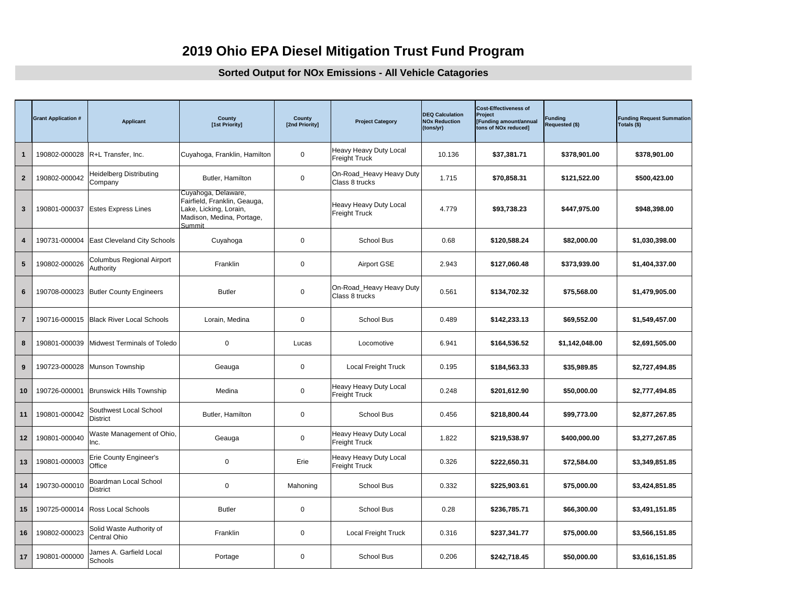## **2019 Ohio EPA Diesel Mitigation Trust Fund Program**

## **Sorted Output for NOx Emissions - All Vehicle Catagories**

|                | <b>Grant Application #</b> | <b>Applicant</b>                          | County<br>[1st Priority]                                                                                             | County<br>[2nd Priority] | <b>Project Category</b>                        | <b>DEQ Calculation</b><br><b>NOx Reduction</b><br>(tons/yr) | <b>Cost-Effectiveness of</b><br>Project<br>[Funding amount/annual<br>tons of NOx reduced] | <b>Fundina</b><br><b>Requested (\$)</b> | <b>Funding Request Summation</b><br>Totals (\$) |
|----------------|----------------------------|-------------------------------------------|----------------------------------------------------------------------------------------------------------------------|--------------------------|------------------------------------------------|-------------------------------------------------------------|-------------------------------------------------------------------------------------------|-----------------------------------------|-------------------------------------------------|
| $\mathbf 1$    |                            | 190802-000028   R+L Transfer, Inc.        | Cuyahoga, Franklin, Hamilton                                                                                         | $\mathbf 0$              | Heavy Heavy Duty Local<br><b>Freight Truck</b> | 10.136                                                      | \$37,381.71                                                                               | \$378,901.00                            | \$378,901.00                                    |
| $\overline{2}$ | 190802-000042              | Heidelberg Distributing<br>Company        | Butler, Hamilton                                                                                                     | $\mathbf 0$              | On-Road_Heavy Heavy Duty<br>Class 8 trucks     | 1.715                                                       | \$70,858.31                                                                               | \$121,522.00                            | \$500,423.00                                    |
| 3              | 190801-000037              | <b>Estes Express Lines</b>                | Cuyahoga, Delaware,<br>Fairfield, Franklin, Geauga,<br>Lake, Licking, Lorain,<br>Madison, Medina, Portage,<br>Summit |                          | Heavy Heavy Duty Local<br><b>Freight Truck</b> | 4.779                                                       | \$93,738.23                                                                               | \$447,975.00                            | \$948,398.00                                    |
| 4              | 190731-000004              | East Cleveland City Schools               | Cuyahoga                                                                                                             | $\mathbf 0$              | School Bus                                     | 0.68                                                        | \$120,588.24                                                                              | \$82,000.00                             | \$1,030,398.00                                  |
| 5              | 190802-000026              | Columbus Regional Airport<br>Authority    | Franklin                                                                                                             | $\mathbf 0$              | Airport GSE                                    | 2.943                                                       | \$127,060.48                                                                              | \$373,939.00                            | \$1,404,337.00                                  |
| 6              |                            | 190708-000023 Butler County Engineers     | <b>Butler</b>                                                                                                        | $\mathbf 0$              | On-Road_Heavy Heavy Duty<br>Class 8 trucks     | 0.561                                                       | \$134,702.32                                                                              | \$75,568.00                             | \$1.479.905.00                                  |
| $\overline{7}$ |                            | 190716-000015 Black River Local Schools   | Lorain, Medina                                                                                                       | $\mathbf 0$              | School Bus                                     | 0.489                                                       | \$142,233.13                                                                              | \$69,552.00                             | \$1,549,457.00                                  |
| 8              | 190801-000039              | Midwest Terminals of Toledo               | $\mathbf 0$                                                                                                          | Lucas                    | Locomotive                                     | 6.941                                                       | \$164,536.52                                                                              | \$1,142,048.00                          | \$2,691,505.00                                  |
| 9              |                            | 190723-000028 Munson Township             | Geauga                                                                                                               | $\mathbf 0$              | Local Freight Truck                            | 0.195                                                       | \$184,563.33                                                                              | \$35,989.85                             | \$2,727,494.85                                  |
| 10             | 190726-000001              | <b>Brunswick Hills Township</b>           | Medina                                                                                                               | $\mathbf 0$              | Heavy Heavy Duty Local<br><b>Freight Truck</b> | 0.248                                                       | \$201,612.90                                                                              | \$50,000.00                             | \$2,777,494.85                                  |
| 11             | 190801-000042              | Southwest Local School<br><b>District</b> | Butler, Hamilton                                                                                                     | $\mathbf 0$              | School Bus                                     | 0.456                                                       | \$218,800.44                                                                              | \$99,773.00                             | \$2,877,267.85                                  |
| 12             | 190801-000040              | Waste Management of Ohio,<br>Inc.         | Geauga                                                                                                               | $\mathbf 0$              | Heavy Heavy Duty Local<br><b>Freight Truck</b> | 1.822                                                       | \$219,538.97                                                                              | \$400,000.00                            | \$3,277,267.85                                  |
| 13             | 190801-000003              | Erie County Engineer's<br>Office          | $\mathbf 0$                                                                                                          | Erie                     | Heavy Heavy Duty Local<br><b>Freight Truck</b> | 0.326                                                       | \$222,650.31                                                                              | \$72,584.00                             | \$3,349,851.85                                  |
| 14             | 190730-000010              | Boardman Local School<br><b>District</b>  | $\mathbf 0$                                                                                                          | Mahoning                 | School Bus                                     | 0.332                                                       | \$225,903.61                                                                              | \$75,000.00                             | \$3,424,851.85                                  |
| 15             | 190725-000014              | <b>Ross Local Schools</b>                 | <b>Butler</b>                                                                                                        | $\mathbf 0$              | School Bus                                     | 0.28                                                        | \$236,785.71                                                                              | \$66,300.00                             | \$3,491,151.85                                  |
| 16             | 190802-000023              | Solid Waste Authority of<br>Central Ohio  | Franklin                                                                                                             | $\mathbf 0$              | <b>Local Freight Truck</b>                     | 0.316                                                       | \$237,341.77                                                                              | \$75,000.00                             | \$3,566,151.85                                  |
| 17             | 190801-000000              | James A. Garfield Local<br>Schools        | Portage                                                                                                              | $\mathbf 0$              | School Bus                                     | 0.206                                                       | \$242,718.45                                                                              | \$50,000.00                             | \$3,616,151.85                                  |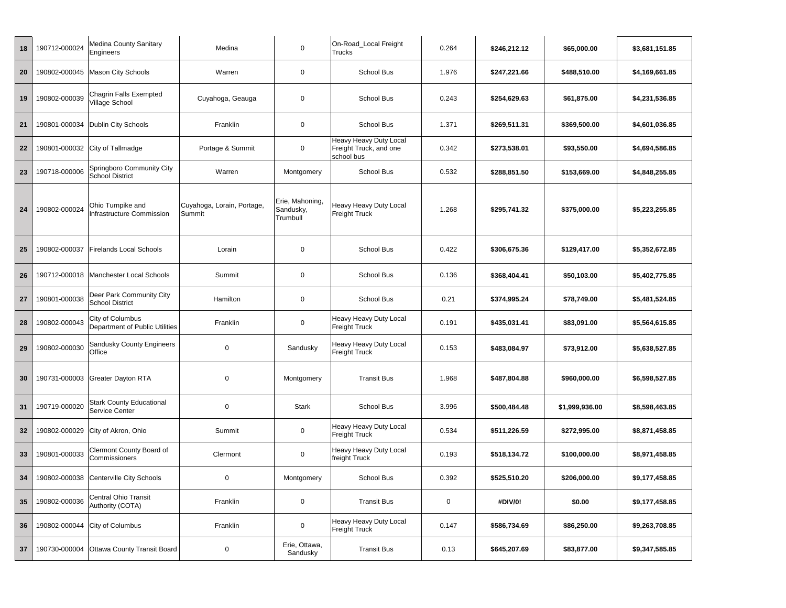| 18 | 190712-000024 | Medina County Sanitary<br>Engineers                   | Medina                               | 0                                        | On-Road Local Freight<br>Trucks                                | 0.264       | \$246,212.12<br>\$65,000.00    |              | \$3,681,151.85 |
|----|---------------|-------------------------------------------------------|--------------------------------------|------------------------------------------|----------------------------------------------------------------|-------------|--------------------------------|--------------|----------------|
| 20 | 190802-000045 | <b>Mason City Schools</b>                             | Warren                               | 0                                        | School Bus                                                     | 1.976       | \$247,221.66                   | \$488,510.00 | \$4,169,661.85 |
| 19 | 190802-000039 | Chagrin Falls Exempted<br>Village School              | Cuyahoga, Geauga                     | 0                                        | School Bus                                                     | 0.243       | \$254,629.63<br>\$61,875.00    |              | \$4,231,536.85 |
| 21 | 190801-000034 | Dublin City Schools                                   | Franklin                             | $\mathbf 0$                              | School Bus                                                     | 1.371       | \$269,511.31<br>\$369,500.00   |              | \$4,601,036.85 |
| 22 | 190801-000032 | City of Tallmadge                                     | Portage & Summit                     | $\pmb{0}$                                | Heavy Heavy Duty Local<br>Freight Truck, and one<br>school bus | 0.342       | \$273,538.01<br>\$93,550.00    |              | \$4,694,586.85 |
| 23 | 190718-000006 | Springboro Community City<br><b>School District</b>   | Warren                               | Montgomery                               | School Bus                                                     | 0.532       | \$288,851.50<br>\$153,669.00   |              | \$4,848,255.85 |
| 24 | 190802-000024 | Ohio Turnpike and<br><b>Infrastructure Commission</b> | Cuyahoga, Lorain, Portage,<br>Summit | Erie, Mahoning,<br>Sandusky,<br>Trumbull | Heavy Heavy Duty Local<br>Freight Truck                        | 1.268       | \$295,741.32                   | \$375,000.00 |                |
| 25 | 190802-000037 | <b>Firelands Local Schools</b>                        | Lorain                               | 0                                        | School Bus                                                     | 0.422       | \$306,675.36<br>\$129,417.00   |              | \$5,352,672.85 |
| 26 | 190712-000018 | Manchester Local Schools                              | Summit                               | 0                                        | School Bus                                                     | 0.136       | \$368,404.41<br>\$50,103.00    |              | \$5,402,775.85 |
| 27 | 190801-000038 | Deer Park Community City<br><b>School District</b>    | Hamilton                             | 0                                        | School Bus                                                     | 0.21        | \$374,995.24<br>\$78,749.00    |              | \$5,481,524.85 |
| 28 | 190802-000043 | City of Columbus<br>Department of Public Utilities    | Franklin                             | $\pmb{0}$                                | Heavy Heavy Duty Local<br>Freight Truck                        | 0.191       | \$435,031.41<br>\$83,091.00    |              | \$5,564,615.85 |
| 29 | 190802-000030 | Sandusky County Engineers<br>Office                   | $\mathbf 0$                          | Sandusky                                 | Heavy Heavy Duty Local<br>Freight Truck                        | 0.153       | \$483,084.97<br>\$73,912.00    |              | \$5,638,527.85 |
| 30 | 190731-000003 | Greater Dayton RTA                                    | 0                                    | Montgomery                               | <b>Transit Bus</b>                                             | 1.968       | \$487,804.88<br>\$960,000.00   |              | \$6,598,527.85 |
| 31 | 190719-000020 | <b>Stark County Educational</b><br>Service Center     | $\mathbf 0$                          | <b>Stark</b>                             | School Bus                                                     | 3.996       | \$500,484.48<br>\$1,999,936.00 |              | \$8,598,463.85 |
| 32 | 190802-000029 | City of Akron, Ohio                                   | Summit                               | 0                                        | Heavy Heavy Duty Local<br><b>Freight Truck</b>                 | 0.534       | \$511,226.59<br>\$272,995.00   |              | \$8,871,458.85 |
| 33 | 190801-000033 | Clermont County Board of<br>Commissioners             | Clermont                             | 0                                        | Heavy Heavy Duty Local<br>freight Truck                        | 0.193       | \$518,134.72<br>\$100,000.00   |              | \$8,971,458.85 |
| 34 |               | 190802-000038 Centerville City Schools                | 0                                    | Montgomery                               | School Bus                                                     | 0.392       | \$525,510.20                   | \$206,000.00 |                |
| 35 | 190802-000036 | Central Ohio Transit<br>Authority (COTA)              | Franklin                             | $\mathbf 0$                              | <b>Transit Bus</b>                                             | $\mathbf 0$ | #DIV/0!                        | \$0.00       | \$9,177,458.85 |
| 36 | 190802-000044 | City of Columbus                                      | Franklin                             | $\mathbf 0$                              | Heavy Heavy Duty Local<br><b>Freight Truck</b>                 | 0.147       | \$586,734.69                   | \$86,250.00  | \$9,263,708.85 |
| 37 | 190730-000004 | Ottawa County Transit Board                           | $\mathbf 0$                          | Erie, Ottawa,<br>Sandusky                | <b>Transit Bus</b>                                             | 0.13        | \$645,207.69                   | \$83,877.00  | \$9,347,585.85 |